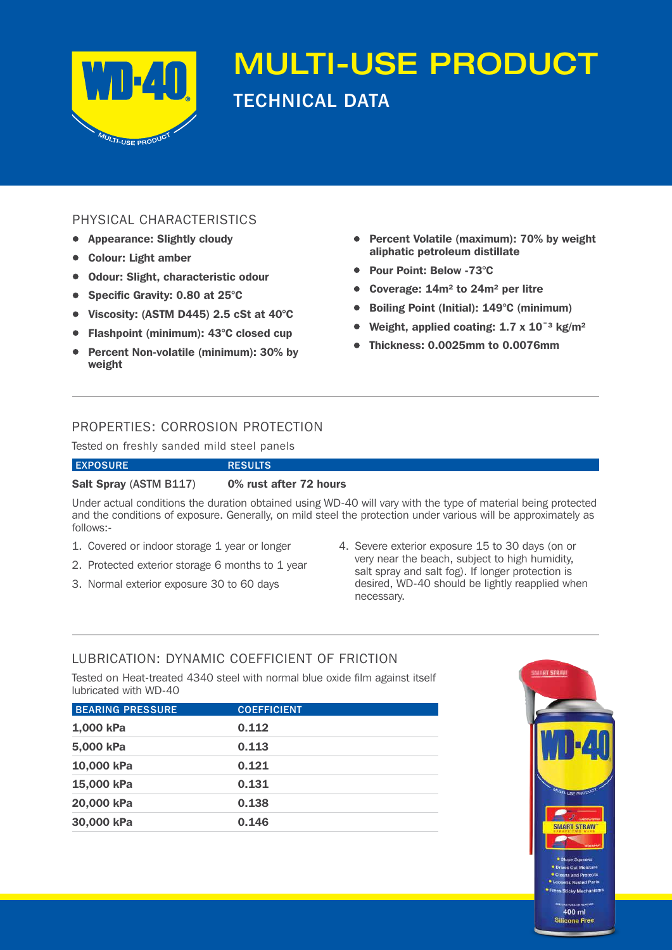

# MULTI-USE PRODUCT TECHNICAL DATA

# PHYSICAL CHARACTERISTICS

- Appearance: Slightly cloudy
- • Colour: Light amber
- • Odour: Slight, characteristic odour
- Specific Gravity: 0.80 at 25°C
- • Viscosity: (ASTM D445) 2.5 cSt at 40°C
- • Flashpoint (minimum): 43°C closed cup
- Percent Non-volatile (minimum): 30% by weight
- • Percent Volatile (maximum): 70% by weight aliphatic petroleum distillate
- • Pour Point: Below -73°C
- Coverage:  $14m^2$  to  $24m^2$  per litre
- • Boiling Point (Initial): 149°C (minimum)
- Weight, applied coating:  $1.7 \times 10^{-3}$  kg/m<sup>2</sup>
- • Thickness: 0.0025mm to 0.0076mm

# PROPERTIES: CORROSION PROTECTION

Tested on freshly sanded mild steel panels

#### EXPOSURE RESULTS

# Salt Spray (ASTM B117) 0% rust after 72 hours

Under actual conditions the duration obtained using WD-40 will vary with the type of material being protected and the conditions of exposure. Generally, on mild steel the protection under various will be approximately as follows:-

- 1. Covered or indoor storage 1 year or longer
- 2. Protected exterior storage 6 months to 1 year
- 3. Normal exterior exposure 30 to 60 days
- 4. Severe exterior exposure 15 to 30 days (on or very near the beach, subject to high humidity, salt spray and salt fog). If longer protection is desired, WD-40 should be lightly reapplied when necessary.

# LUBRICATION: DYNAMIC COEFFICIENT OF FRICTION

Tested on Heat-treated 4340 steel with normal blue oxide film against itself lubricated with WD-40

| <b>BEARING PRESSURE</b> | <b>COEFFICIENT</b> |
|-------------------------|--------------------|
| 1,000 kPa               | 0.112              |
| 5,000 kPa               | 0.113              |
| 10,000 kPa              | 0.121              |
| 15,000 kPa              | 0.131              |
| 20,000 kPa              | 0.138              |
| 30,000 kPa              | 0.146              |